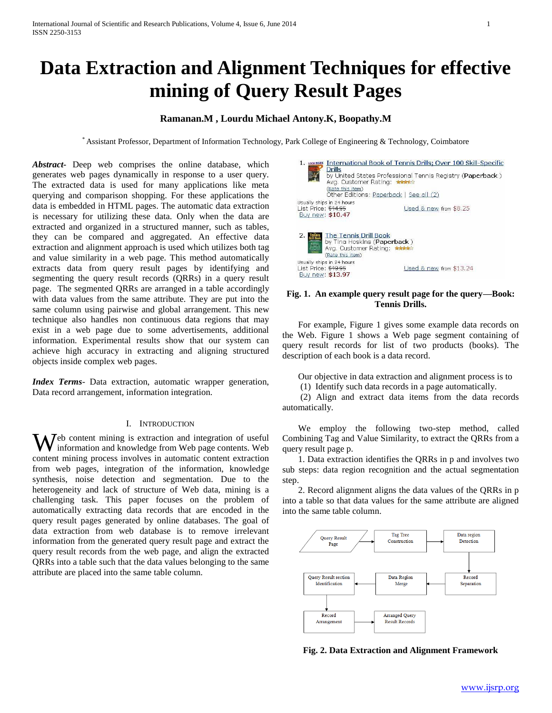# **Data Extraction and Alignment Techniques for effective mining of Query Result Pages**

# **Ramanan.M , Lourdu Michael Antony.K, Boopathy.M**

\* Assistant Professor, Department of Information Technology, Park College of Engineering & Technology, Coimbatore

*Abstract***-** Deep web comprises the online database, which generates web pages dynamically in response to a user query. The extracted data is used for many applications like meta querying and comparison shopping. For these applications the data is embedded in HTML pages. The automatic data extraction is necessary for utilizing these data. Only when the data are extracted and organized in a structured manner, such as tables, they can be compared and aggregated. An effective data extraction and alignment approach is used which utilizes both tag and value similarity in a web page. This method automatically extracts data from query result pages by identifying and segmenting the query result records (QRRs) in a query result page. The segmented QRRs are arranged in a table accordingly with data values from the same attribute. They are put into the same column using pairwise and global arrangement. This new technique also handles non continuous data regions that may exist in a web page due to some advertisements, additional information. Experimental results show that our system can achieve high accuracy in extracting and aligning structured objects inside complex web pages.

*Index Terms*- Data extraction, automatic wrapper generation, Data record arrangement, information integration.

## I. INTRODUCTION

 $\mathbf{W}$ <sup>eb</sup> content mining is extraction and integration of useful information and knowledge from Web page contents. Web information and knowledge from Web page contents. Web content mining process involves in automatic content extraction from web pages, integration of the information, knowledge synthesis, noise detection and segmentation. Due to the heterogeneity and lack of structure of Web data, mining is a challenging task. This paper focuses on the problem of automatically extracting data records that are encoded in the query result pages generated by online databases. The goal of data extraction from web database is to remove irrelevant information from the generated query result page and extract the query result records from the web page, and align the extracted QRRs into a table such that the data values belonging to the same attribute are placed into the same table column.



## **Fig. 1. An example query result page for the query—Book: Tennis Drills.**

 For example, Figure 1 gives some example data records on the Web. Figure 1 shows a Web page segment containing of query result records for list of two products (books). The description of each book is a data record.

Our objective in data extraction and alignment process is to

(1) Identify such data records in a page automatically.

 (2) Align and extract data items from the data records automatically.

 We employ the following two-step method, called Combining Tag and Value Similarity, to extract the QRRs from a query result page p.

 1. Data extraction identifies the QRRs in p and involves two sub steps: data region recognition and the actual segmentation step.

 2. Record alignment aligns the data values of the QRRs in p into a table so that data values for the same attribute are aligned into the same table column.



**Fig. 2. Data Extraction and Alignment Framework**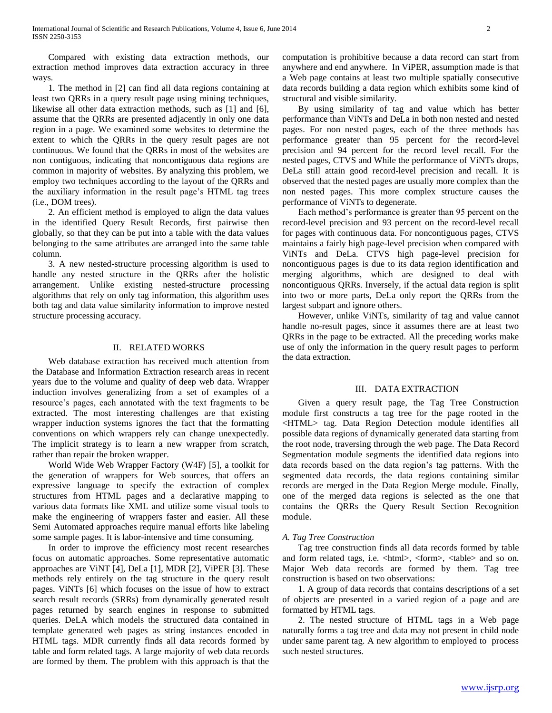Compared with existing data extraction methods, our extraction method improves data extraction accuracy in three ways.

 1. The method in [2] can find all data regions containing at least two QRRs in a query result page using mining techniques, likewise all other data extraction methods, such as [1] and [6], assume that the QRRs are presented adjacently in only one data region in a page. We examined some websites to determine the extent to which the QRRs in the query result pages are not continuous. We found that the QRRs in most of the websites are non contiguous, indicating that noncontiguous data regions are common in majority of websites. By analyzing this problem, we employ two techniques according to the layout of the QRRs and the auxiliary information in the result page's HTML tag trees (i.e., DOM trees).

 2. An efficient method is employed to align the data values in the identified Query Result Records, first pairwise then globally, so that they can be put into a table with the data values belonging to the same attributes are arranged into the same table column.

 3. A new nested-structure processing algorithm is used to handle any nested structure in the QRRs after the holistic arrangement. Unlike existing nested-structure processing algorithms that rely on only tag information, this algorithm uses both tag and data value similarity information to improve nested structure processing accuracy.

# II. RELATED WORKS

 Web database extraction has received much attention from the Database and Information Extraction research areas in recent years due to the volume and quality of deep web data. Wrapper induction involves generalizing from a set of examples of a resource's pages, each annotated with the text fragments to be extracted. The most interesting challenges are that existing wrapper induction systems ignores the fact that the formatting conventions on which wrappers rely can change unexpectedly. The implicit strategy is to learn a new wrapper from scratch, rather than repair the broken wrapper.

 World Wide Web Wrapper Factory (W4F) [5], a toolkit for the generation of wrappers for Web sources, that offers an expressive language to specify the extraction of complex structures from HTML pages and a declarative mapping to various data formats like XML and utilize some visual tools to make the engineering of wrappers faster and easier. All these Semi Automated approaches require manual efforts like labeling some sample pages. It is labor-intensive and time consuming.

 In order to improve the efficiency most recent researches focus on automatic approaches. Some representative automatic approaches are ViNT [4], DeLa [1], MDR [2], ViPER [3]. These methods rely entirely on the tag structure in the query result pages. ViNTs [6] which focuses on the issue of how to extract search result records (SRRs) from dynamically generated result pages returned by search engines in response to submitted queries. DeLA which models the structured data contained in template generated web pages as string instances encoded in HTML tags. MDR currently finds all data records formed by table and form related tags. A large majority of web data records are formed by them. The problem with this approach is that the

computation is prohibitive because a data record can start from anywhere and end anywhere. In ViPER, assumption made is that a Web page contains at least two multiple spatially consecutive data records building a data region which exhibits some kind of structural and visible similarity.

 By using similarity of tag and value which has better performance than ViNTs and DeLa in both non nested and nested pages. For non nested pages, each of the three methods has performance greater than 95 percent for the record-level precision and 94 percent for the record level recall. For the nested pages, CTVS and While the performance of ViNTs drops, DeLa still attain good record-level precision and recall. It is observed that the nested pages are usually more complex than the non nested pages. This more complex structure causes the performance of ViNTs to degenerate.

 Each method's performance is greater than 95 percent on the record-level precision and 93 percent on the record-level recall for pages with continuous data. For noncontiguous pages, CTVS maintains a fairly high page-level precision when compared with ViNTs and DeLa. CTVS high page-level precision for noncontiguous pages is due to its data region identification and merging algorithms, which are designed to deal with noncontiguous QRRs. Inversely, if the actual data region is split into two or more parts, DeLa only report the QRRs from the largest subpart and ignore others.

 However, unlike ViNTs, similarity of tag and value cannot handle no-result pages, since it assumes there are at least two QRRs in the page to be extracted. All the preceding works make use of only the information in the query result pages to perform the data extraction.

#### III. DATA EXTRACTION

 Given a query result page, the Tag Tree Construction module first constructs a tag tree for the page rooted in the <HTML> tag. Data Region Detection module identifies all possible data regions of dynamically generated data starting from the root node, traversing through the web page. The Data Record Segmentation module segments the identified data regions into data records based on the data region's tag patterns. With the segmented data records, the data regions containing similar records are merged in the Data Region Merge module. Finally, one of the merged data regions is selected as the one that contains the QRRs the Query Result Section Recognition module.

## *A. Tag Tree Construction*

 Tag tree construction finds all data records formed by table and form related tags, i.e.  $\langle \text{html} \rangle$ ,  $\langle \text{form} \rangle$ ,  $\langle \text{table} \rangle$  and so on. Major Web data records are formed by them. Tag tree construction is based on two observations:

 1. A group of data records that contains descriptions of a set of objects are presented in a varied region of a page and are formatted by HTML tags.

 2. The nested structure of HTML tags in a Web page naturally forms a tag tree and data may not present in child node under same parent tag. A new algorithm to employed to process such nested structures.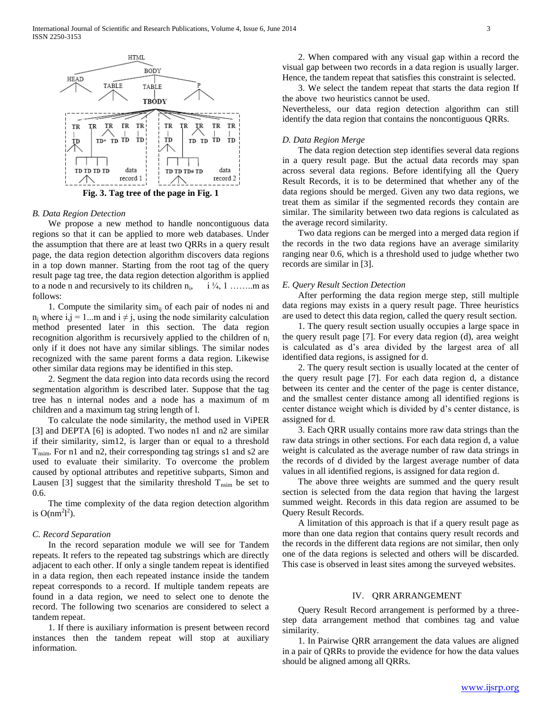

**Fig. 3. Tag tree of the page in Fig. 1**

#### *B. Data Region Detection*

 We propose a new method to handle noncontiguous data regions so that it can be applied to more web databases. Under the assumption that there are at least two QRRs in a query result page, the data region detection algorithm discovers data regions in a top down manner. Starting from the root tag of the query result page tag tree, the data region detection algorithm is applied to a node n and recursively to its children  $n_i$ ,  $i \frac{1}{4}, 1 \dots \dots$  m as follows:

1. Compute the similarity  $\sinh$  of each pair of nodes ni and  $n_i$  where i,j = 1...m and i  $\neq$  j, using the node similarity calculation method presented later in this section. The data region recognition algorithm is recursively applied to the children of  $n_i$ only if it does not have any similar siblings. The similar nodes recognized with the same parent forms a data region. Likewise other similar data regions may be identified in this step.

 2. Segment the data region into data records using the record segmentation algorithm is described later. Suppose that the tag tree has n internal nodes and a node has a maximum of m children and a maximum tag string length of l.

 To calculate the node similarity, the method used in ViPER [3] and DEPTA [6] is adopted. Two nodes n1 and n2 are similar if their similarity, sim12, is larger than or equal to a threshold  $T_{nsim}$ . For n1 and n2, their corresponding tag strings s1 and s2 are used to evaluate their similarity. To overcome the problem caused by optional attributes and repetitive subparts, Simon and Lausen [3] suggest that the similarity threshold  $T_{nsim}$  be set to 0.6.

 The time complexity of the data region detection algorithm is  $O(nm^2l^2)$ .

# *C. Record Separation*

 In the record separation module we will see for Tandem repeats. It refers to the repeated tag substrings which are directly adjacent to each other. If only a single tandem repeat is identified in a data region, then each repeated instance inside the tandem repeat corresponds to a record. If multiple tandem repeats are found in a data region, we need to select one to denote the record. The following two scenarios are considered to select a tandem repeat.

 1. If there is auxiliary information is present between record instances then the tandem repeat will stop at auxiliary information.

 2. When compared with any visual gap within a record the visual gap between two records in a data region is usually larger. Hence, the tandem repeat that satisfies this constraint is selected.

 3. We select the tandem repeat that starts the data region If the above two heuristics cannot be used.

Nevertheless, our data region detection algorithm can still identify the data region that contains the noncontiguous QRRs.

## *D. Data Region Merge*

 The data region detection step identifies several data regions in a query result page. But the actual data records may span across several data regions. Before identifying all the Query Result Records, it is to be determined that whether any of the data regions should be merged. Given any two data regions, we treat them as similar if the segmented records they contain are similar. The similarity between two data regions is calculated as the average record similarity.

 Two data regions can be merged into a merged data region if the records in the two data regions have an average similarity ranging near 0.6, which is a threshold used to judge whether two records are similar in [3].

## *E. Query Result Section Detection*

 After performing the data region merge step, still multiple data regions may exists in a query result page. Three heuristics are used to detect this data region, called the query result section.

 1. The query result section usually occupies a large space in the query result page [7]. For every data region (d), area weight is calculated as d's area divided by the largest area of all identified data regions, is assigned for d.

 2. The query result section is usually located at the center of the query result page [7]. For each data region d, a distance between its center and the center of the page is center distance, and the smallest center distance among all identified regions is center distance weight which is divided by d's center distance, is assigned for d.

 3. Each QRR usually contains more raw data strings than the raw data strings in other sections. For each data region d, a value weight is calculated as the average number of raw data strings in the records of d divided by the largest average number of data values in all identified regions, is assigned for data region d.

 The above three weights are summed and the query result section is selected from the data region that having the largest summed weight. Records in this data region are assumed to be Query Result Records.

 A limitation of this approach is that if a query result page as more than one data region that contains query result records and the records in the different data regions are not similar, then only one of the data regions is selected and others will be discarded. This case is observed in least sites among the surveyed websites.

#### IV. QRR ARRANGEMENT

 Query Result Record arrangement is performed by a threestep data arrangement method that combines tag and value similarity.

 1. In Pairwise QRR arrangement the data values are aligned in a pair of QRRs to provide the evidence for how the data values should be aligned among all QRRs.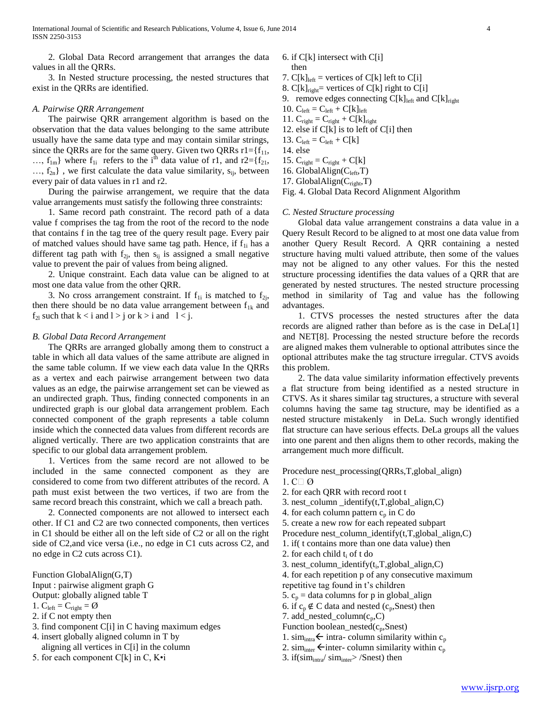2. Global Data Record arrangement that arranges the data values in all the QRRs.

 3. In Nested structure processing, the nested structures that exist in the QRRs are identified.

## *A. Pairwise QRR Arrangement*

 The pairwise QRR arrangement algorithm is based on the observation that the data values belonging to the same attribute usually have the same data type and may contain similar strings, since the QRRs are for the same query. Given two QRRs  $r1 = {f_{11}}$ , ...,  $f_{1m}$ } where  $f_{1i}$  refers to the i<sup>th</sup> data value of r1, and r2={ $f_{21}$ ,  $..., f_{2n}$ , we first calculate the data value similarity,  $s_{ii}$ , between every pair of data values in r1 and r2.

 During the pairwise arrangement, we require that the data value arrangements must satisfy the following three constraints:

 1. Same record path constraint. The record path of a data value f comprises the tag from the root of the record to the node that contains f in the tag tree of the query result page. Every pair of matched values should have same tag path. Hence, if  $f_{1i}$  has a different tag path with  $f_{2i}$ , then  $s_{ii}$  is assigned a small negative value to prevent the pair of values from being aligned.

 2. Unique constraint. Each data value can be aligned to at most one data value from the other QRR.

3. No cross arrangement constraint. If  $f_{1i}$  is matched to  $f_{2i}$ , then there should be no data value arrangement between  $f_{1k}$  and  $f_{2l}$  such that  $k < i$  and  $l > j$  or  $k > i$  and  $l < j$ .

#### *B. Global Data Record Arrangement*

 The QRRs are arranged globally among them to construct a table in which all data values of the same attribute are aligned in the same table column. If we view each data value In the QRRs as a vertex and each pairwise arrangement between two data values as an edge, the pairwise arrangement set can be viewed as an undirected graph. Thus, finding connected components in an undirected graph is our global data arrangement problem. Each connected component of the graph represents a table column inside which the connected data values from different records are aligned vertically. There are two application constraints that are specific to our global data arrangement problem.

 1. Vertices from the same record are not allowed to be included in the same connected component as they are considered to come from two different attributes of the record. A path must exist between the two vertices, if two are from the same record breach this constraint, which we call a breach path.

 2. Connected components are not allowed to intersect each other. If C1 and C2 are two connected components, then vertices in C1 should be either all on the left side of C2 or all on the right side of C2,and vice versa (i.e., no edge in C1 cuts across C2, and no edge in C2 cuts across C1).

Function GlobalAlign(G,T)

- Input : pairwise aligment graph G
- Output: globally aligned table T
- 1.  $C_{\text{left}} = C_{\text{right}} = \emptyset$
- 2. if C not empty then
- 3. find component C[i] in C having maximum edges
- 4. insert globally aligned column in T by aligning all vertices in C[i] in the column
- 5. for each component  $C[k]$  in C,  $K\cdot i$
- 6. if  $C[k]$  intersect with  $C[i]$ then
- 7.  $C[k]_{left}$  = vertices of  $C[k]$  left to  $C[i]$
- 8.  $C[k]_{right}$  vertices of  $C[k]$  right to  $C[i]$
- 9. remove edges connecting  $C[k]_{left}$  and  $C[k]_{right}$
- 10.  $C_{left} = C_{left} + C[k]_{left}$
- 11.  $C_{\text{right}} = C_{\text{right}} + C[k]_{\text{right}}$
- 12. else if  $C[k]$  is to left of  $C[i]$  then
- 13.  $C_{\text{left}} = C_{\text{left}} + C[k]$
- 14. else
- 15.  $C_{right} = C_{right} + C[k]$
- 16. GlobalAlign( $C_{left}$ ,T)
- 17. GlobalAlign( $C_{\text{right}}$ ,T)

Fig. 4. Global Data Record Alignment Algorithm

#### *C. Nested Structure processing*

 Global data value arrangement constrains a data value in a Query Result Record to be aligned to at most one data value from another Query Result Record. A QRR containing a nested structure having multi valued attribute, then some of the values may not be aligned to any other values. For this the nested structure processing identifies the data values of a QRR that are generated by nested structures. The nested structure processing method in similarity of Tag and value has the following advantages.

 1. CTVS processes the nested structures after the data records are aligned rather than before as is the case in DeLa[1] and NET[8]. Processing the nested structure before the records are aligned makes them vulnerable to optional attributes since the optional attributes make the tag structure irregular. CTVS avoids this problem.

 2. The data value similarity information effectively prevents a flat structure from being identified as a nested structure in CTVS. As it shares similar tag structures, a structure with several columns having the same tag structure, may be identified as a nested structure mistakenly in DeLa. Such wrongly identified flat structure can have serious effects. DeLa groups all the values into one parent and then aligns them to other records, making the arrangement much more difficult.

Procedure nest\_processing(QRRs,T,global\_align) 1. C $\Box$  Ø

- 2. for each QRR with record root t
- 3. nest\_column \_identify(t,T,global\_align,C)
- 4. for each column pattern  $c_p$  in C do
- 5. create a new row for each repeated subpart
- Procedure nest\_column\_identify(t,T,global\_align,C)
- 1. if( t contains more than one data value) then
- 2. for each child  $t_i$  of t do
- 3. nest\_column\_identify(t<sub>i</sub>,T,global\_align,C)
- 4. for each repetition p of any consecutive maximum
- repetitive tag found in t's children
- 5.  $c_p$  = data columns for p in global\_align
- 6. if  $c_p \notin C$  data and nested ( $c_p$ , Snest) then
- 7. add\_nested\_column $(c_p, C)$
- Function boolean\_nested $(c_p,$ Snest)
- 1. sim<sub>intra</sub>  $\leftarrow$  intra- column similarity within c<sub>p</sub>
- 2. sim<sub>inter</sub>  $\leftarrow$  inter- column similarity within c<sub>p</sub>
- 3. if(sim<sub>intra</sub>/ sim<sub>inter</sub>> /Snest) then